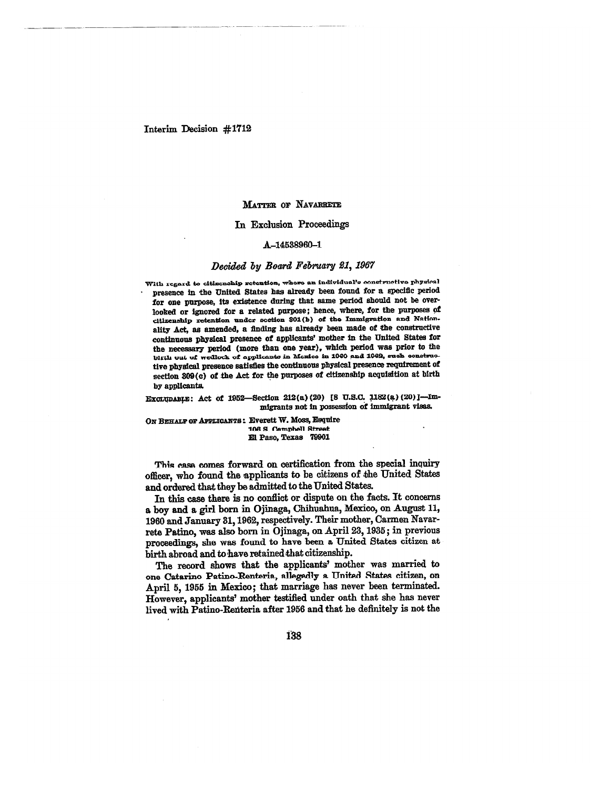## Interim Decision #1712

#### **MATTER or NAVARRETE**

## **In Exclusion Proceedings**

### **A-14538960-1**

# *Decided by Board February 21,1967*

**With regard to citizenship retention, whore an individual's constructive physical • presence in the United** *States* **has already been found for a specific period for one purpose, its existence during that same period should not be overlooked or ignored for a related purpose; hence, where, for the purposes of citizenship retention tinder section 801(b) of the Immigration and Nationality Act, as amended, a finding has already been made of the constructive continuous physical presence of applicants' mother in the United States for the necessary period (more than one year), which period was prior to the birth out of wedlock of applicants in Mexico in 1960 and 1962,** *such* **constructive physical presence satisfies the continuous physical presence requirement of section 809(c) of the Act for the purposes of citizenship acquisition at birth by applicants.** 

Exoropasts: Act of 1952-Section 212(a) (20) [8 U.S.C. 1182(a) (20)]-Im**migrants not in possession of immigrant visas.** 

**ON BEHALF OF APPLICANTS: Everett W. Moss, Esquire 108 S\_ Campbell Street El Paso, Texas 79901** 

**This ease comes forward on certification from the special inquiry officer, who found the applicants to be citizens of the United States and ordered that they be admitted to the United States.** 

**In this case there is no conflict or dispute on the facts. It concerns a boy and a, girl born in Ojinaga, Chihuahua, Mexico, on August 11, 1960 and January 31, 1962, respectively. Their mother, Carmen Navarrete Patino,** *was* **also born in Ojinaga, on April 23, 1935; in previous proceedings, she was found to have been a United States citizen at birth abroad and to have retained that citizenship.** 

**The record shows that the applicants' mother was married to one Catarino Patino-Ite-nteria, allegedly a United States citizen, on April 5, 1955 in Mexico; that marriage has never been terminated. However, applicants' mother testified under oath that she has never lived with Patino-Renteria after 1956 and that he definitely is not the** 

**138**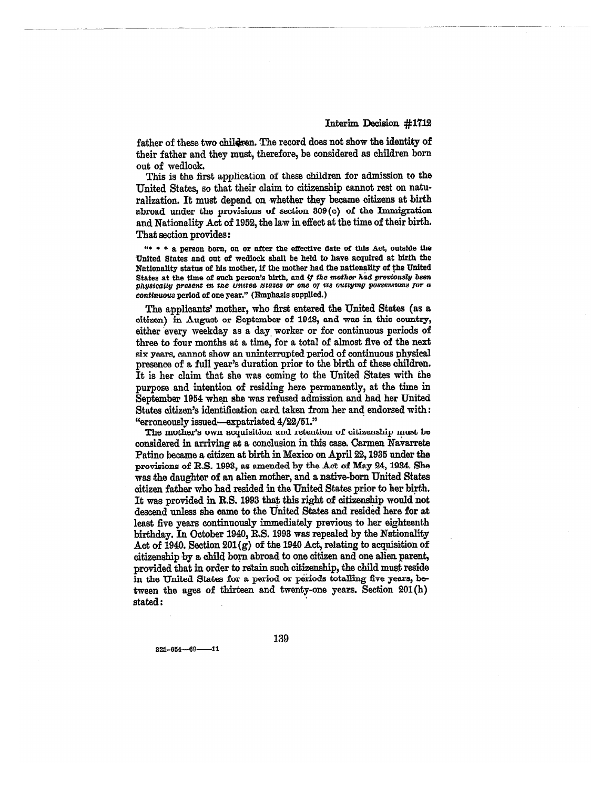**father of these two chil4en. The record does not show the identity of their father and they must, therefore, be considered as children born. out of wedlock.** 

This is the first application of these children for admission to **the United States, so that their claim to citizenship cannot rest on naturalization. It must depend on whether they became citizens at birth abroad under the provisions of section 309(c) of the Immigration and Nationality Act of 1952, the law in effect at the time of their birth. That section provides:** 

**"• • • a person born, on or after the effective date of this Act, outside the United States and out of wedlock shall be held to have acquired at birth the Nationality status of his mother, if the mother had the nationality of the United States at the time of such person's birth, and if** *the mother had previously been physieaily present in the United States or one of its outlying possessions for o continuous* **period of one year." (Emphasis supplied.)** 

**The applicants' mother, who first entered the United States (as a citizen) in August or September of 1948, and** *was* in **this country,**  either every weekday as a day worker or for continuous periods of **three to four months at a time, for a total of almost five of the next six years, cannot show an uninterrupted period of continuous physical presence of a full year's duration prior to the birth of these children. It is her claim that she was coming to the United States with the purpose and intention of residing here permanently, at the time in September 1954 when she** *was* **refused admission and had her United States citizen's identification card. taken from her and endorsed with: "erroneously issued—expatriated 4/22/51."** 

**The mother's own acquisition and retention of citizenship must be considered in arriving at a conclusion in this case. Carmen Navarrete Patino became a citizen at birth in Mexico on April 22, 1935 under the provisions of R.S. 1993, as e**h **by the Act of May 24, 1934. She was the daughter of an alien mother, and a native-born United States citizen father who had resided in the United States prior to her birth. It was provided in R.S. 1993 that this right of citizenship would not descend unless she came to the United States and resided here for at least five years continuously immediately previous to her eighteenth birthday. In October 1940, R.S. 1993 was repealed by the Nationality Act of 1940. Section 201(g) of the 1940 Act, relating to acquisition of citizenship by a child born abroad to one citizen and one alien parent, provided that in order to retain such citizenship, the child must reside in the United States for a period or periods totalling five years, between the ages of thirteen and twenty-one years. Section 201(h) stated :** 

**321-864--69-11** 

**139**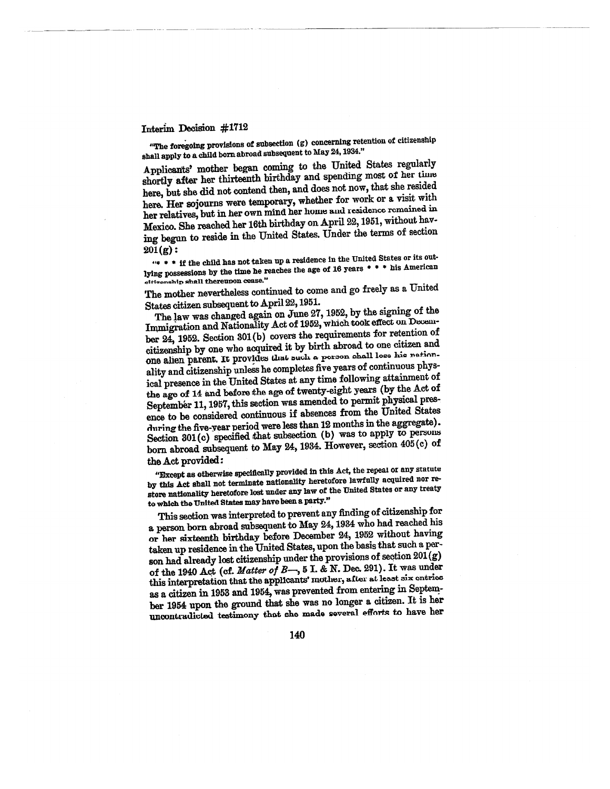# Interim Decision #1712

**"The foregoing provisions of subsection (g) concerning retention of citizenship shall apply to a child born abroad subsequent to May 24,1934."** 

**Applicants' mother began coming to the United States regularly shortly after her thirteenth birthday and spending most of her** *time*  **here, but she did not contend then, and does not now, that she resided here. Her sojourns were temporary, whether for work or a visit with her relatives, but in her own mind her home and residence remained in Mexico. She reached her 16th birthday on April 22, 1951, without having begun to reside in the United States. Under the terms of section 201 (g) :** 

**"8 \* \* if the child has not taken up a residence in the United States or its outlying possessions by the time he reaches the age of 16 years \* \* his American**  citi**zenship** shall thereupon cease."

**The mother nevertheless continued to come and go freely as a United States citizen subsequent to April 22, 1951.** 

**The law was changed again on June 27, 1952, by the** *signing* **of the Immigration and Nationality Act of 1952, which took effect on December 24, 1952. Section 301(b) covers the requirements for retention of citizenship by one who acquired it by birth abroad to one citizen and one alien parent. It provides that such a person shall lose his nationality and citizenship unless he completes five years of continuous physical presence in the United States at any time following attainment of the age of 14 and before the age of twenty-eight years (by the Act of September 11, 1957, this section was amended to permit physical presence to be considered continuous if absences from the United States**  *during* **the five-year period were less than 12 months in the aggregate). Section 301(c) specified that subsection (b) was to apply to persons born abroad subsequent to May 24, 1934. However, section 405 (c) of the Act provided:** 

**"Except as otherwise specifically provided in this Act, the repeal or any** statute **by this Act shall not terminate nationality heretofore lawfully acquired nor restore nationality heretofore lost under any law of the United States or any treaty to which the United States may have been a party."** 

**This section was interpreted to prevent any finding of citizenship for a person born abroad subsequent to May 24, 1931 who had reached his or her sixteenth birthday before December 24, 1952 without having taken up residence in the United States, upon the basis that such a person had already lost citizenship under the provisions of section 201(g) of the 1940 Act (of. Matter of B—, 5 I. & N. Dec. 291). It was under this interpretation that the applicants' mother, after at least six entries as a citizen in 1953 and 1954, was prevented from entering in September 1954 upon the ground that she** was **no longer a citizen. It is her uncontradicted testimony that she made several efforts to have her**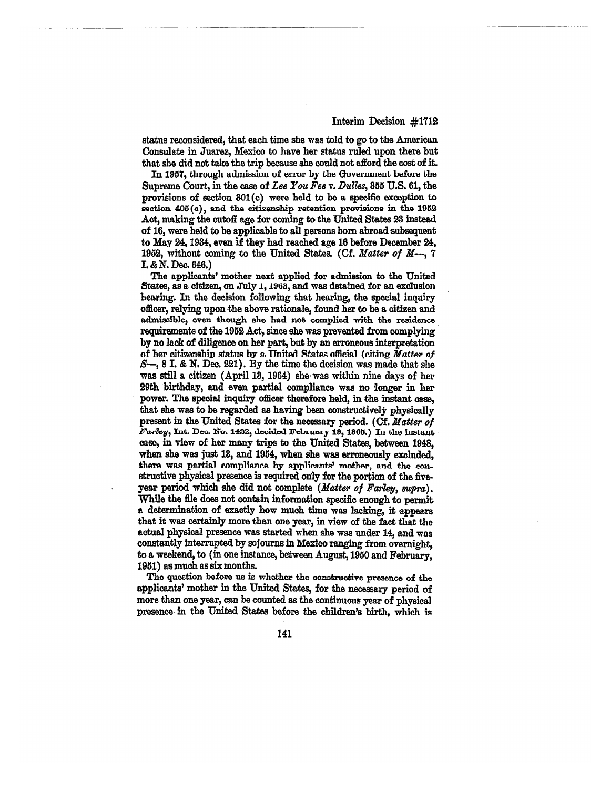**status reconsidered, that each time she was told to go to the American Consulate in Juarez, Mexico to have her status ruled upon there but that she did not take the trip because she could not afford the cost of it.** 

**In 1951, through admission of error by the Government before the Supreme Court, in the case of** *Lee You Fee v. Dulles,* **355 U.S. 61, the provisions of section 801(c) were held to be a specific exception to section 405(e), and the citizenship retention provisions in the 1952 Act, making the cutoff age for coming to the United States 23 instead of 16, were held to be applicable to all persons born abroad subsequent to May 24, 1984, even if they had reached age 16 before December 24, 1952, without coming to the United States. (Cf.** *Matter of M—, 7*  I. *&* **N. Dec. 616.)** 

**The applicants' mother nest applied for admission to the United**  *States, as* **a citizen, on July 1, 1963, and was detained for an exclusion bearing. In the decision following that hearing, the special inquiry officer, relying upon the above rationale, found her to be a citizen and admissible, even though she had not complied with the residence requirements of the 1952 Act, since she was prevented from complying by no lack of diligence on her part, but by an erroneous interpretation of her citizenship status by a United States official (citing** *Matter of S—,* **8 I. &** *N.* **Dec. 221). By the time the decision was made that she was still a citizen (April 13, 1964) she was within nine days of her 29th birthday, and even partial compliance was no longer in her power. The special inquiry officer therefore held, in the instant case, that she was to be regarded as having been constructively physically present in the United States for the necessary period. (Cf.** *Matter of Palley,* **Int. Dec. No. 1432, decided February 19, 1905.) In the instant case, in view of her many trips to the United States, between 1948, when she was just 13, and 1954, when she was erroneously excluded, there was partial compliance by applicants' mother, and the constructive physical presence is required only for the portion of the fiveyear period which she did not complete** *(Matter of Farley, supra).*  **While the file does not contain information specific enough to permit a determination of exactly how much time was lacking, it appears that it was certainly more than one year, in view of the fact that the actual physical presence was started when she was under 14, and was constantly interrupted by sojourns in Mexico ranging from overnight, to a weekend, to (in one instance, between August, 1950 and February, 1951) as much as six months.** 

**The question before us is whether the constructive presence of the applicants' mother in the United States, for the necessary period of more than one year, can be counted as the continuous year of physical presence in the United States before the children's birth, which is** 

**141**